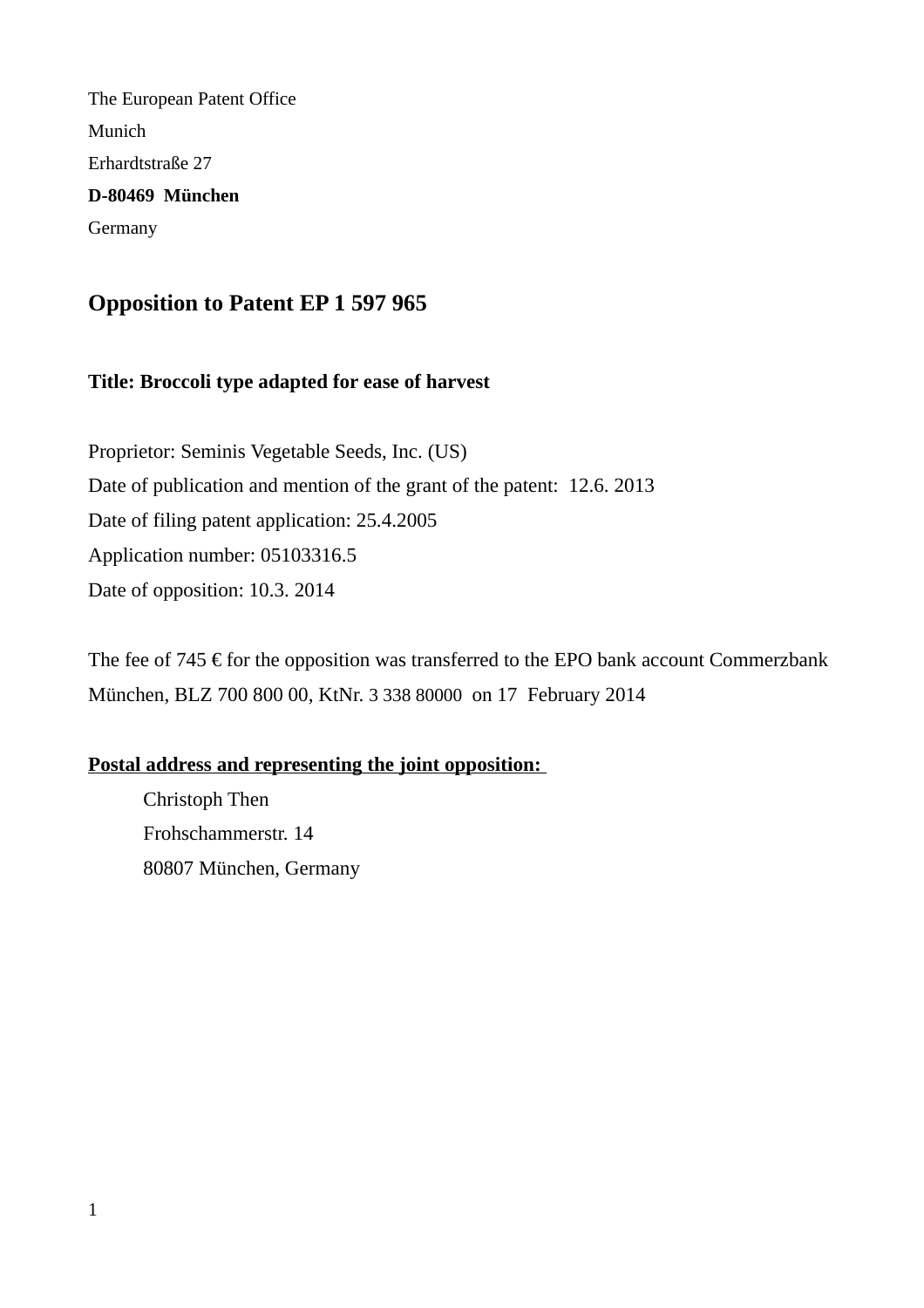The European Patent Office Munich Erhardtstraße 27 **D-80469 München** Germany

# **Opposition to Patent EP 1 597 965**

### **Title: Broccoli type adapted for ease of harvest**

Proprietor: Seminis Vegetable Seeds, Inc. (US) Date of publication and mention of the grant of the patent: 12.6. 2013 Date of filing patent application: 25.4.2005 Application number: 05103316.5 Date of opposition: 10.3. 2014

The fee of 745  $\epsilon$  for the opposition was transferred to the EPO bank account Commerzbank München, BLZ 700 800 00, KtNr. 3 338 80000 on 17 February 2014

### **Postal address and representing the joint opposition:**

Christoph Then Frohschammerstr. 14 80807 München, Germany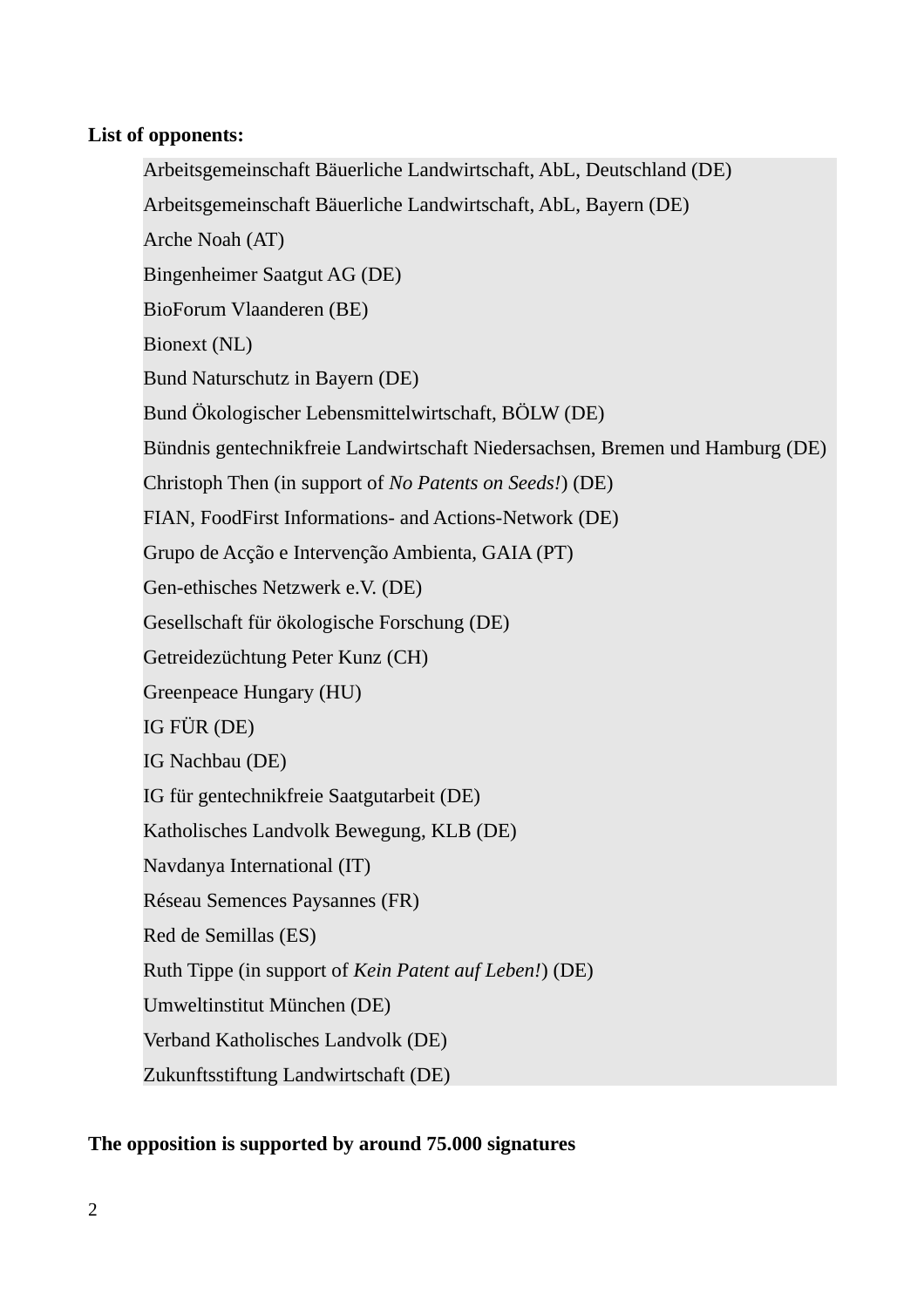### **List of opponents:**

Arbeitsgemeinschaft Bäuerliche Landwirtschaft, AbL, Deutschland (DE) Arbeitsgemeinschaft Bäuerliche Landwirtschaft, AbL, Bayern (DE) Arche Noah (AT) Bingenheimer Saatgut AG (DE) BioForum Vlaanderen (BE) Bionext (NL) Bund Naturschutz in Bayern (DE) Bund Ökologischer Lebensmittelwirtschaft, BÖLW (DE) Bündnis gentechnikfreie Landwirtschaft Niedersachsen, Bremen und Hamburg (DE) Christoph Then (in support of *No Patents on Seeds!*) (DE) FIAN, FoodFirst Informations- and Actions-Network (DE) Grupo de Acção e Intervenção Ambienta, GAIA (PT) Gen-ethisches Netzwerk e.V. (DE) Gesellschaft für ökologische Forschung (DE) Getreidezüchtung Peter Kunz (CH) Greenpeace Hungary (HU) IG FÜR (DE) IG Nachbau (DE) IG für gentechnikfreie Saatgutarbeit (DE) Katholisches Landvolk Bewegung, KLB (DE) Navdanya International (IT) Réseau Semences Paysannes (FR) Red de Semillas (ES) Ruth Tippe (in support of *Kein Patent auf Leben!*) (DE) Umweltinstitut München (DE) Verband Katholisches Landvolk (DE) Zukunftsstiftung Landwirtschaft (DE)

## **The opposition is supported by around 75.000 signatures**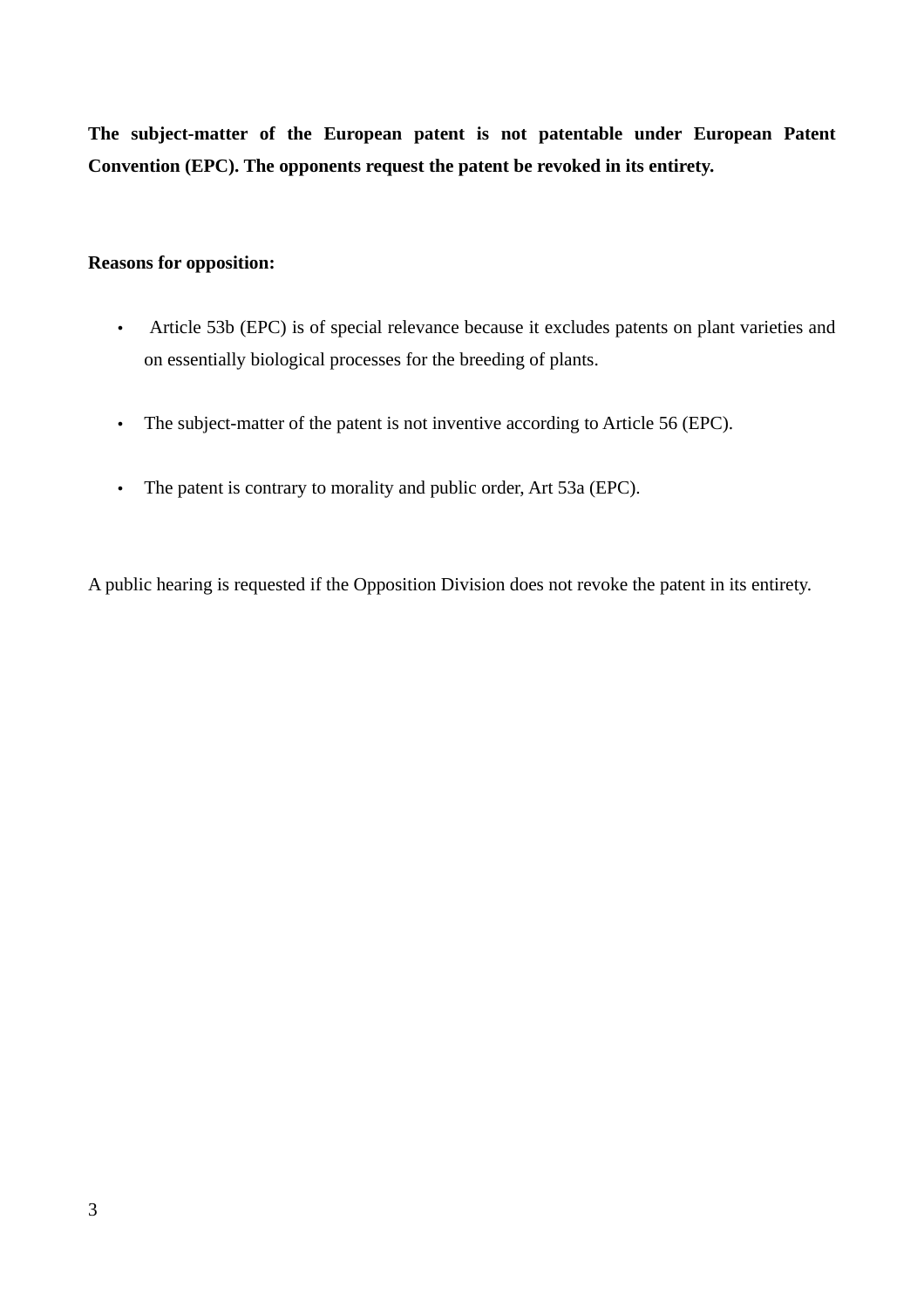**The subject-matter of the European patent is not patentable under European Patent Convention (EPC). The opponents request the patent be revoked in its entirety.** 

#### **Reasons for opposition:**

- Article 53b (EPC) is of special relevance because it excludes patents on plant varieties and on essentially biological processes for the breeding of plants.
- The subject-matter of the patent is not inventive according to Article 56 (EPC).
- The patent is contrary to morality and public order, Art 53a (EPC).

A public hearing is requested if the Opposition Division does not revoke the patent in its entirety.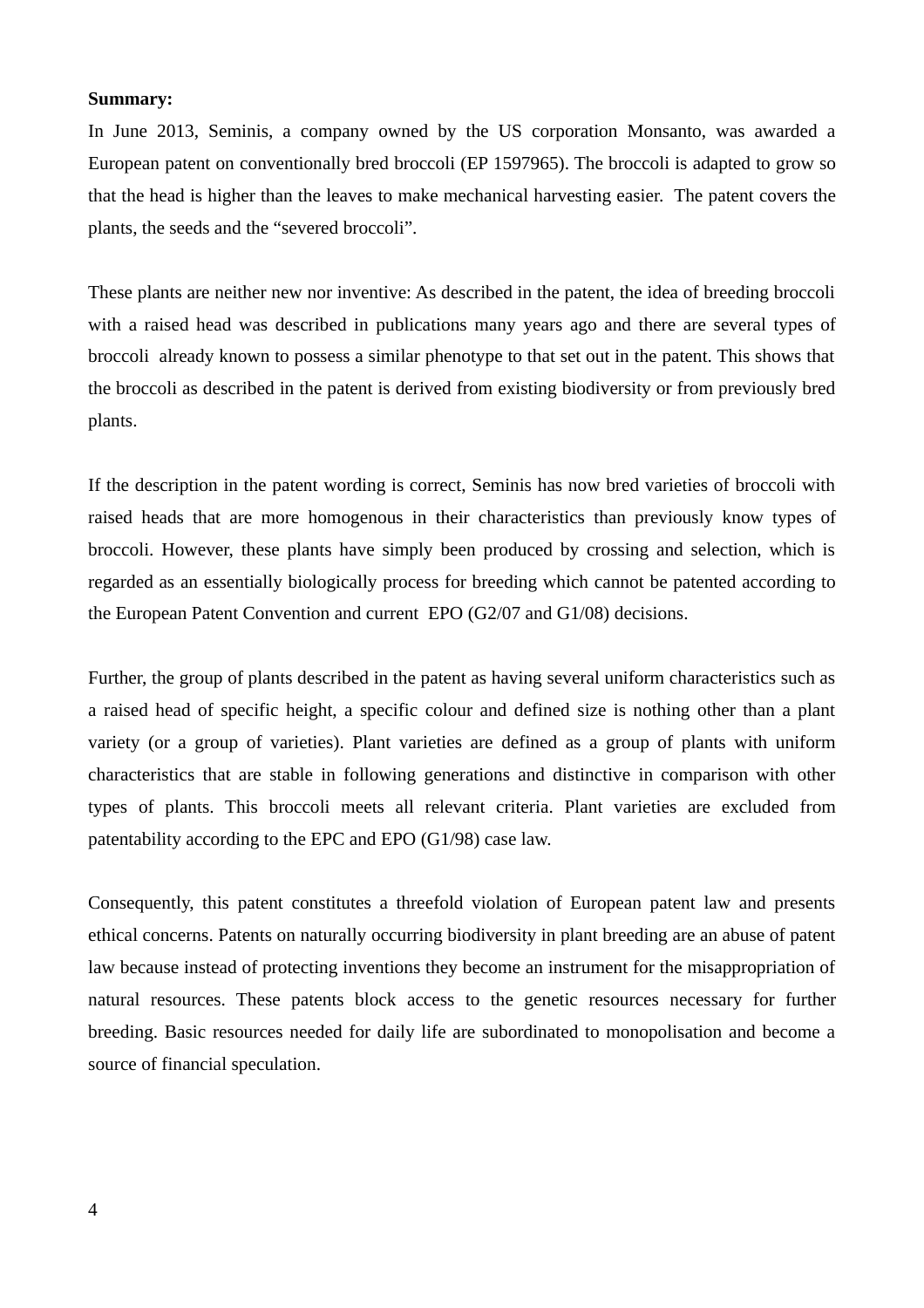#### **Summary:**

In June 2013, Seminis, a company owned by the US corporation Monsanto, was awarded a European patent on conventionally bred broccoli (EP 1597965). The broccoli is adapted to grow so that the head is higher than the leaves to make mechanical harvesting easier. The patent covers the plants, the seeds and the "severed broccoli".

These plants are neither new nor inventive: As described in the patent, the idea of breeding broccoli with a raised head was described in publications many years ago and there are several types of broccoli already known to possess a similar phenotype to that set out in the patent. This shows that the broccoli as described in the patent is derived from existing biodiversity or from previously bred plants.

If the description in the patent wording is correct, Seminis has now bred varieties of broccoli with raised heads that are more homogenous in their characteristics than previously know types of broccoli. However, these plants have simply been produced by crossing and selection, which is regarded as an essentially biologically process for breeding which cannot be patented according to the European Patent Convention and current EPO (G2/07 and G1/08) decisions.

Further, the group of plants described in the patent as having several uniform characteristics such as a raised head of specific height, a specific colour and defined size is nothing other than a plant variety (or a group of varieties). Plant varieties are defined as a group of plants with uniform characteristics that are stable in following generations and distinctive in comparison with other types of plants. This broccoli meets all relevant criteria. Plant varieties are excluded from patentability according to the EPC and EPO (G1/98) case law.

Consequently, this patent constitutes a threefold violation of European patent law and presents ethical concerns. Patents on naturally occurring biodiversity in plant breeding are an abuse of patent law because instead of protecting inventions they become an instrument for the misappropriation of natural resources. These patents block access to the genetic resources necessary for further breeding. Basic resources needed for daily life are subordinated to monopolisation and become a source of financial speculation.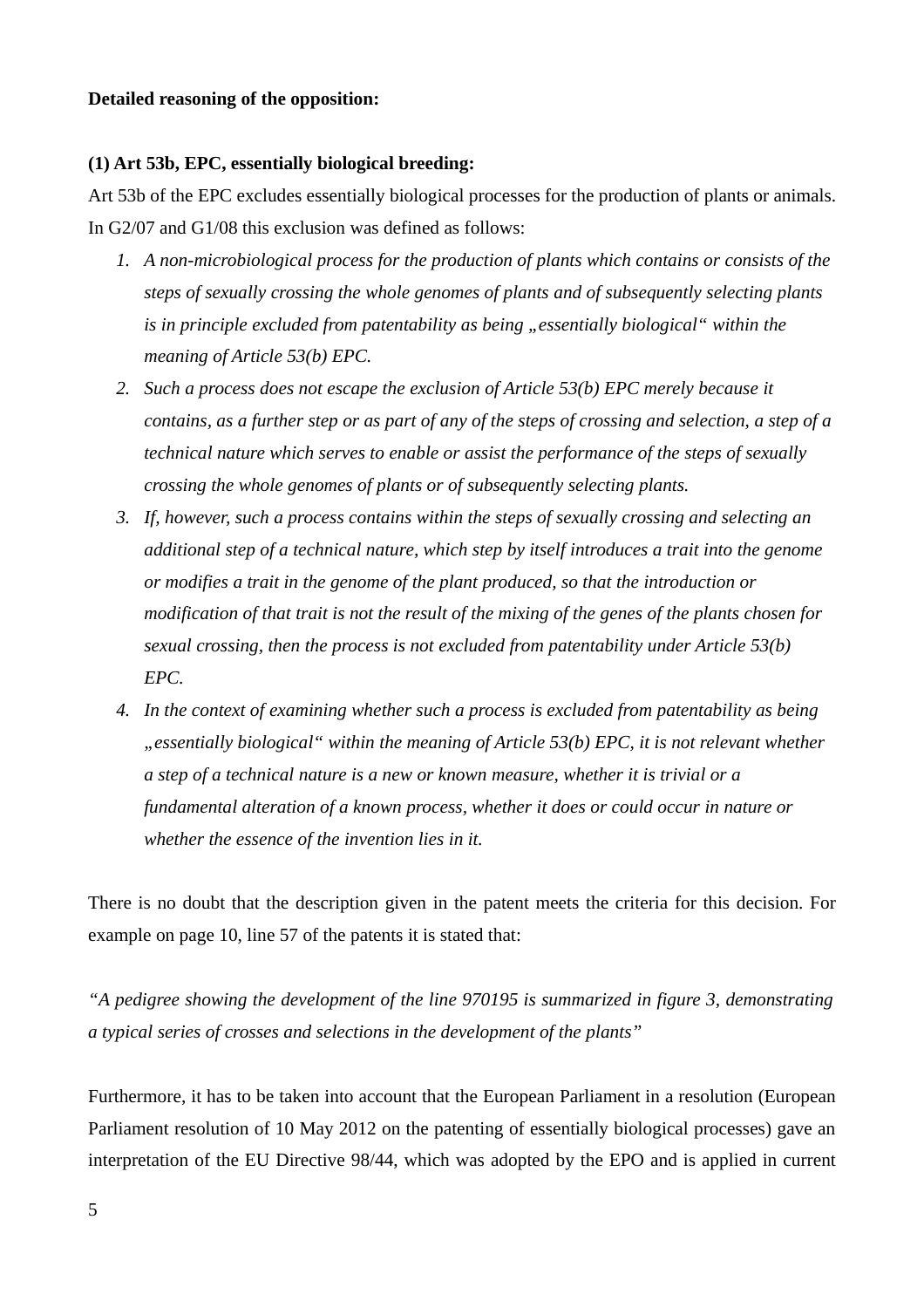#### **Detailed reasoning of the opposition:**

#### **(1) Art 53b, EPC, essentially biological breeding:**

Art 53b of the EPC excludes essentially biological processes for the production of plants or animals. In G2/07 and G1/08 this exclusion was defined as follows:

- *1. A non-microbiological process for the production of plants which contains or consists of the steps of sexually crossing the whole genomes of plants and of subsequently selecting plants is in principle excluded from patentability as being "essentially biological" within the meaning of Article 53(b) EPC.*
- *2. Such a process does not escape the exclusion of Article 53(b) EPC merely because it contains, as a further step or as part of any of the steps of crossing and selection, a step of a technical nature which serves to enable or assist the performance of the steps of sexually crossing the whole genomes of plants or of subsequently selecting plants.*
- *3. If, however, such a process contains within the steps of sexually crossing and selecting an additional step of a technical nature, which step by itself introduces a trait into the genome or modifies a trait in the genome of the plant produced, so that the introduction or modification of that trait is not the result of the mixing of the genes of the plants chosen for sexual crossing, then the process is not excluded from patentability under Article 53(b) EPC.*
- *4. In the context of examining whether such a process is excluded from patentability as being "essentially biological" within the meaning of Article 53(b) EPC, it is not relevant whether a step of a technical nature is a new or known measure, whether it is trivial or a fundamental alteration of a known process, whether it does or could occur in nature or whether the essence of the invention lies in it.*

There is no doubt that the description given in the patent meets the criteria for this decision. For example on page 10, line 57 of the patents it is stated that:

*"A pedigree showing the development of the line 970195 is summarized in figure 3, demonstrating a typical series of crosses and selections in the development of the plants"* 

Furthermore, it has to be taken into account that the European Parliament in a resolution (European Parliament resolution of 10 May 2012 on the patenting of essentially biological processes) gave an interpretation of the EU Directive 98/44, which was adopted by the EPO and is applied in current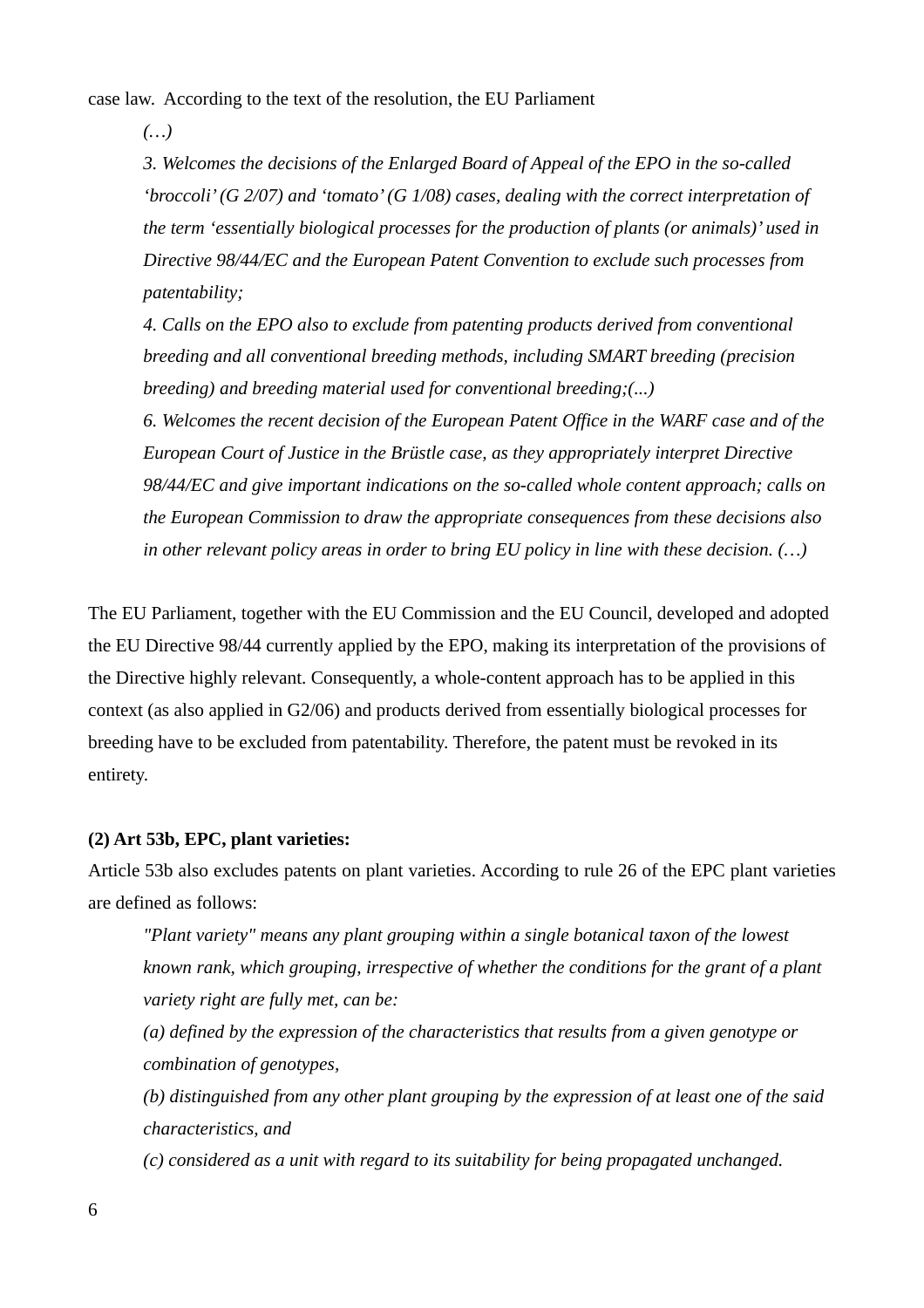case law. According to the text of the resolution, the EU Parliament

*(…)* 

*3. Welcomes the decisions of the Enlarged Board of Appeal of the EPO in the so-called 'broccoli' (G 2/07) and 'tomato' (G 1/08) cases, dealing with the correct interpretation of the term 'essentially biological processes for the production of plants (or animals)' used in Directive 98/44/EC and the European Patent Convention to exclude such processes from patentability;*

*4. Calls on the EPO also to exclude from patenting products derived from conventional breeding and all conventional breeding methods, including SMART breeding (precision breeding) and breeding material used for conventional breeding;(...)*

*6. Welcomes the recent decision of the European Patent Office in the WARF case and of the European Court of Justice in the Brüstle case, as they appropriately interpret Directive 98/44/EC and give important indications on the so-called whole content approach; calls on the European Commission to draw the appropriate consequences from these decisions also in other relevant policy areas in order to bring EU policy in line with these decision. (…)* 

The EU Parliament, together with the EU Commission and the EU Council, developed and adopted the EU Directive 98/44 currently applied by the EPO, making its interpretation of the provisions of the Directive highly relevant. Consequently, a whole-content approach has to be applied in this context (as also applied in G2/06) and products derived from essentially biological processes for breeding have to be excluded from patentability. Therefore, the patent must be revoked in its entirety.

### **(2) Art 53b, EPC, plant varieties:**

Article 53b also excludes patents on plant varieties. According to rule 26 of the EPC plant varieties are defined as follows:

*"Plant variety" means any plant grouping within a single botanical taxon of the lowest known rank, which grouping, irrespective of whether the conditions for the grant of a plant variety right are fully met, can be:* 

*(a) defined by the expression of the characteristics that results from a given genotype or combination of genotypes,* 

*(b) distinguished from any other plant grouping by the expression of at least one of the said characteristics, and* 

*(c) considered as a unit with regard to its suitability for being propagated unchanged.*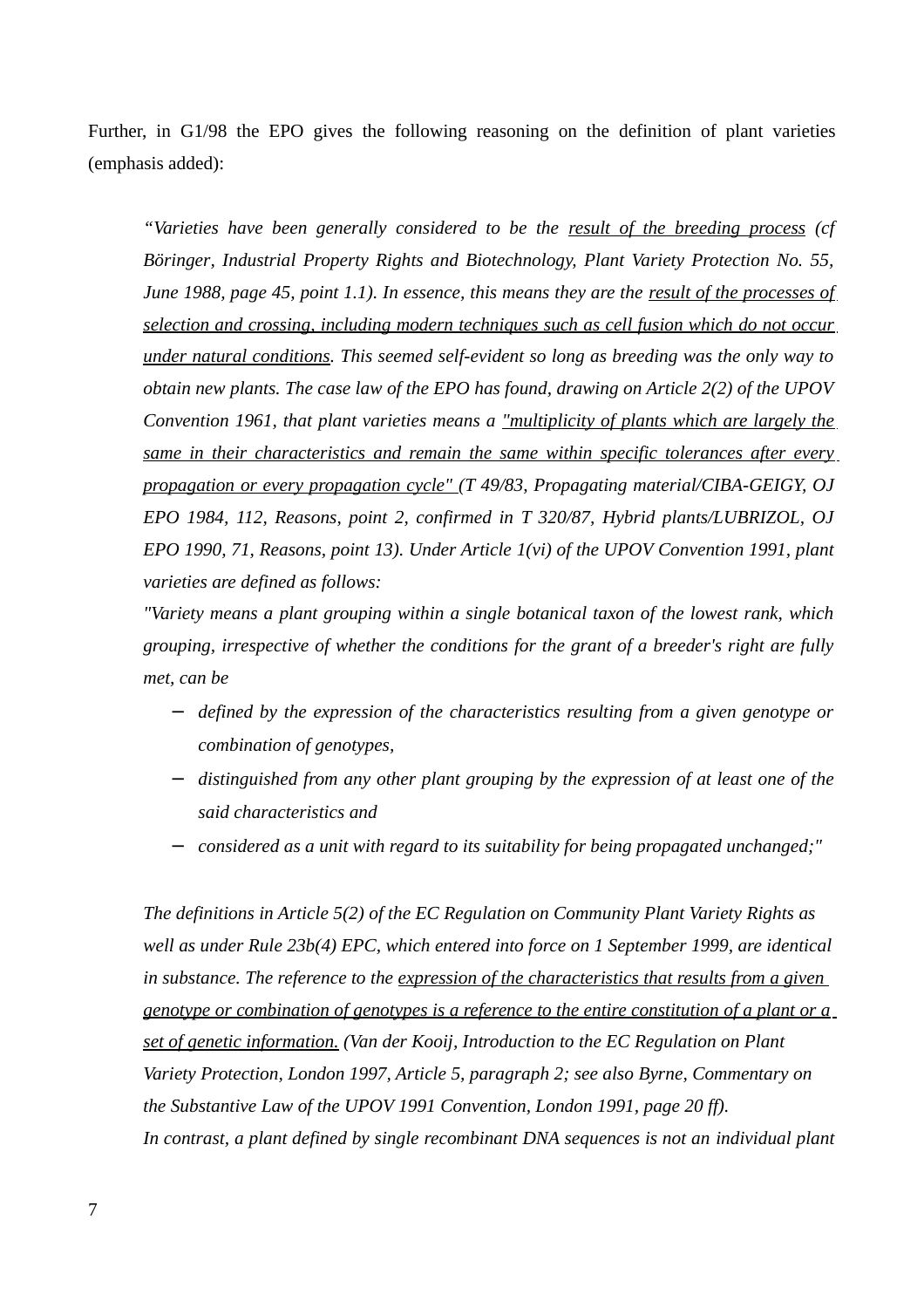Further, in G1/98 the EPO gives the following reasoning on the definition of plant varieties (emphasis added):

*"Varieties have been generally considered to be the result of the breeding process (cf Böringer, Industrial Property Rights and Biotechnology, Plant Variety Protection No. 55, June 1988, page 45, point 1.1). In essence, this means they are the result of the processes of selection and crossing, including modern techniques such as cell fusion which do not occur under natural conditions. This seemed self-evident so long as breeding was the only way to obtain new plants. The case law of the EPO has found, drawing on Article 2(2) of the UPOV Convention 1961, that plant varieties means a "multiplicity of plants which are largely the same in their characteristics and remain the same within specific tolerances after every propagation or every propagation cycle" (T 49/83, Propagating material/CIBA-GEIGY, OJ EPO 1984, 112, Reasons, point 2, confirmed in T 320/87, Hybrid plants/LUBRIZOL, OJ EPO 1990, 71, Reasons, point 13). Under Article 1(vi) of the UPOV Convention 1991, plant varieties are defined as follows:* 

*"Variety means a plant grouping within a single botanical taxon of the lowest rank, which grouping, irrespective of whether the conditions for the grant of a breeder's right are fully met, can be* 

- − *defined by the expression of the characteristics resulting from a given genotype or combination of genotypes,*
- − *distinguished from any other plant grouping by the expression of at least one of the said characteristics and*
- − *considered as a unit with regard to its suitability for being propagated unchanged;"*

*The definitions in Article 5(2) of the EC Regulation on Community Plant Variety Rights as well as under Rule 23b(4) EPC, which entered into force on 1 September 1999, are identical in substance. The reference to the expression of the characteristics that results from a given genotype or combination of genotypes is a reference to the entire constitution of a plant or a set of genetic information. (Van der Kooij, Introduction to the EC Regulation on Plant Variety Protection, London 1997, Article 5, paragraph 2; see also Byrne, Commentary on the Substantive Law of the UPOV 1991 Convention, London 1991, page 20 ff). In contrast, a plant defined by single recombinant DNA sequences is not an individual plant*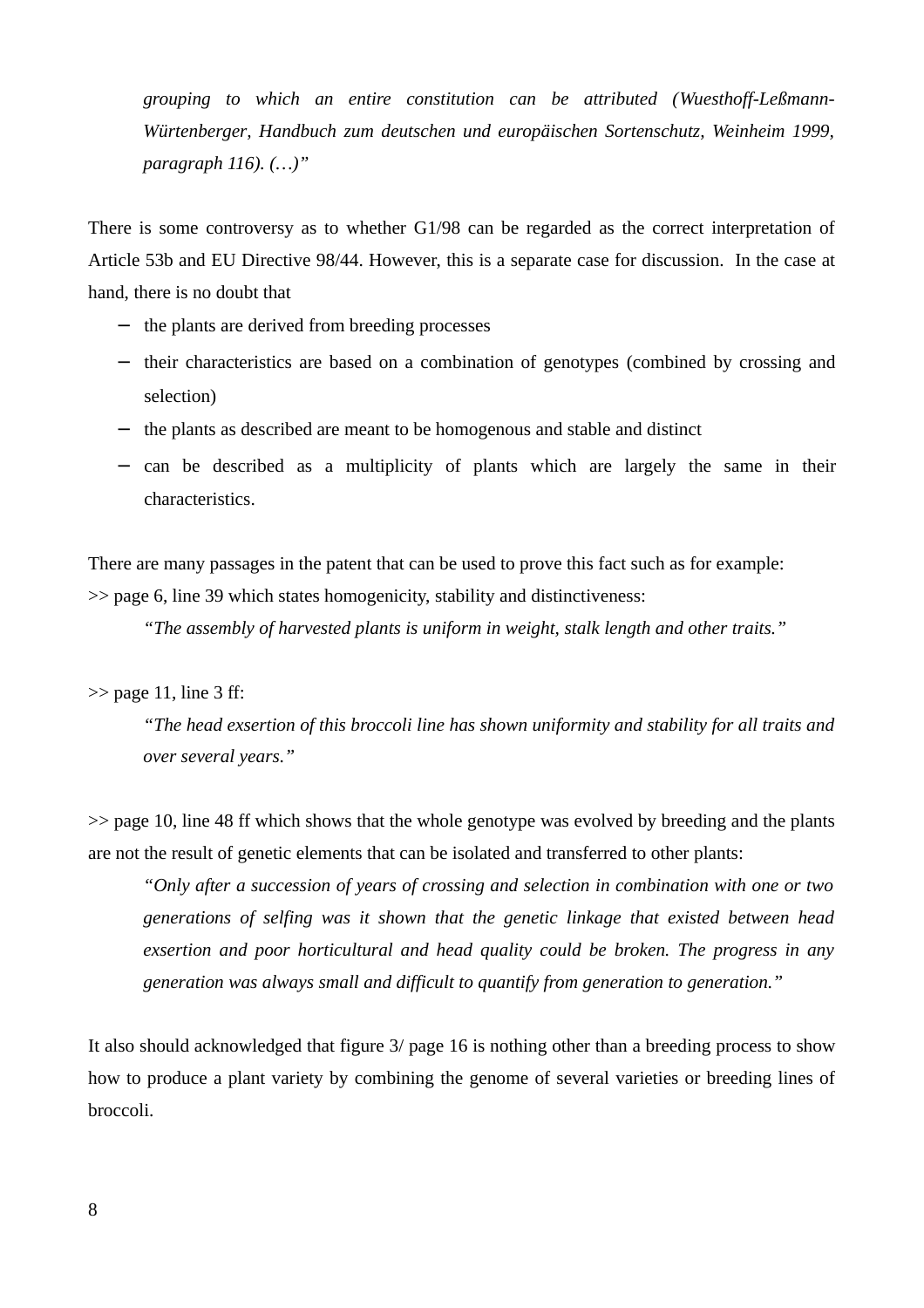*grouping to which an entire constitution can be attributed (Wuesthoff-Leßmann-Würtenberger, Handbuch zum deutschen und europäischen Sortenschutz, Weinheim 1999, paragraph 116). (…)"* 

There is some controversy as to whether G1/98 can be regarded as the correct interpretation of Article 53b and EU Directive 98/44. However, this is a separate case for discussion. In the case at hand, there is no doubt that

- − the plants are derived from breeding processes
- − their characteristics are based on a combination of genotypes (combined by crossing and selection)
- − the plants as described are meant to be homogenous and stable and distinct
- − can be described as a multiplicity of plants which are largely the same in their characteristics.

There are many passages in the patent that can be used to prove this fact such as for example: >> page 6, line 39 which states homogenicity, stability and distinctiveness:

*"The assembly of harvested plants is uniform in weight, stalk length and other traits."*

 $\gg$  page 11, line 3 ff:

*"The head exsertion of this broccoli line has shown uniformity and stability for all traits and over several years."*

>> page 10, line 48 ff which shows that the whole genotype was evolved by breeding and the plants are not the result of genetic elements that can be isolated and transferred to other plants:

*"Only after a succession of years of crossing and selection in combination with one or two generations of selfing was it shown that the genetic linkage that existed between head exsertion and poor horticultural and head quality could be broken. The progress in any generation was always small and difficult to quantify from generation to generation."*

It also should acknowledged that figure 3/ page 16 is nothing other than a breeding process to show how to produce a plant variety by combining the genome of several varieties or breeding lines of broccoli.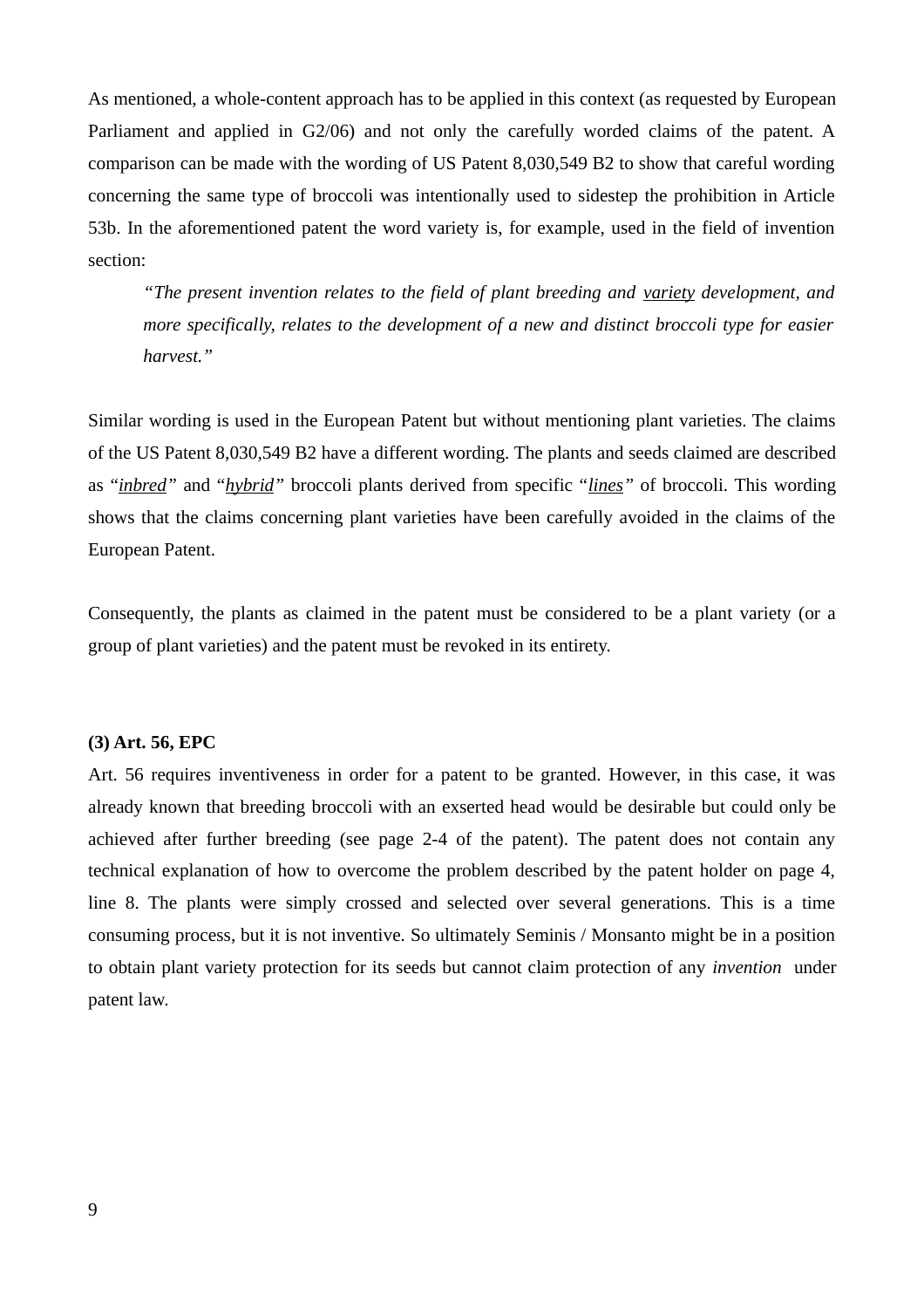As mentioned, a whole-content approach has to be applied in this context (as requested by European Parliament and applied in G2/06) and not only the carefully worded claims of the patent. A comparison can be made with the wording of US Patent 8,030,549 B2 to show that careful wording concerning the same type of broccoli was intentionally used to sidestep the prohibition in Article 53b. In the aforementioned patent the word variety is, for example, used in the field of invention section:

*"The present invention relates to the field of plant breeding and variety development, and more specifically, relates to the development of a new and distinct broccoli type for easier harvest."* 

Similar wording is used in the European Patent but without mentioning plant varieties. The claims of the US Patent 8,030,549 B2 have a different wording. The plants and seeds claimed are described as "*inbred"* and "*hybrid"* broccoli plants derived from specific "*lines"* of broccoli. This wording shows that the claims concerning plant varieties have been carefully avoided in the claims of the European Patent.

Consequently, the plants as claimed in the patent must be considered to be a plant variety (or a group of plant varieties) and the patent must be revoked in its entirety.

#### **(3) Art. 56, EPC**

Art. 56 requires inventiveness in order for a patent to be granted. However, in this case, it was already known that breeding broccoli with an exserted head would be desirable but could only be achieved after further breeding (see page 2-4 of the patent). The patent does not contain any technical explanation of how to overcome the problem described by the patent holder on page 4, line 8. The plants were simply crossed and selected over several generations. This is a time consuming process, but it is not inventive. So ultimately Seminis / Monsanto might be in a position to obtain plant variety protection for its seeds but cannot claim protection of any *invention* under patent law.